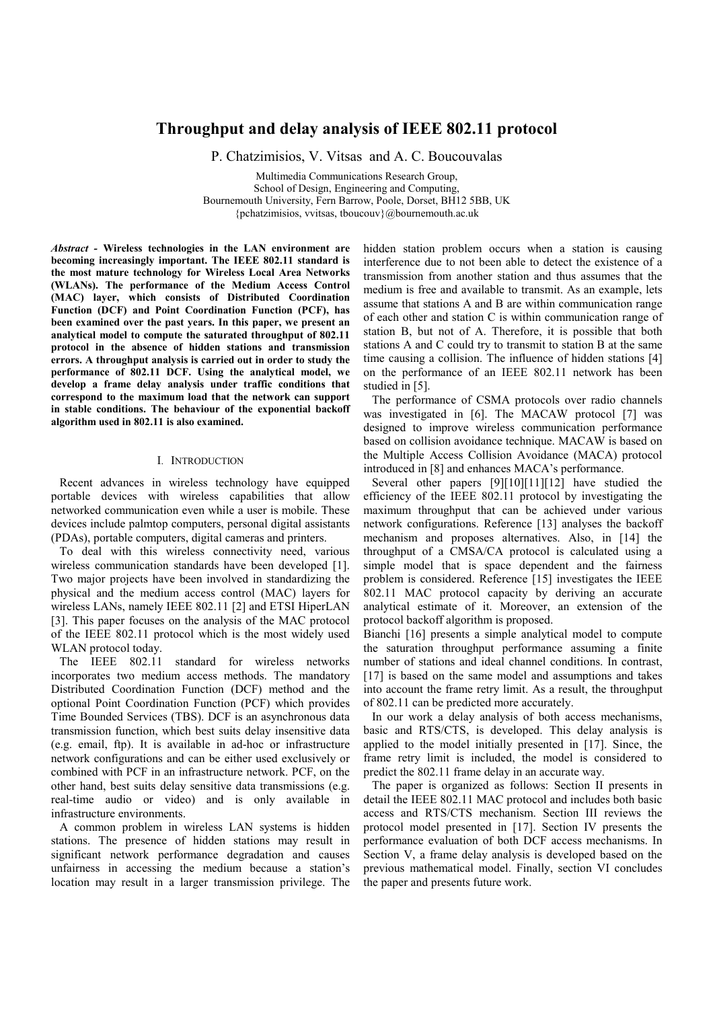# **Throughput and delay analysis of IEEE 802.11 protocol**

P. Chatzimisios, V. Vitsas and A. C. Boucouvalas

Multimedia Communications Research Group, School of Design, Engineering and Computing, Bournemouth University, Fern Barrow, Poole, Dorset, BH12 5BB, UK {pchatzimisios, vvitsas, tboucouv}@bournemouth.ac.uk

*Abstract -* **Wireless technologies in the LAN environment are becoming increasingly important. The IEEE 802.11 standard is the most mature technology for Wireless Local Area Networks (WLANs). The performance of the Medium Access Control (MAC) layer, which consists of Distributed Coordination Function (DCF) and Point Coordination Function (PCF), has been examined over the past years. In this paper, we present an analytical model to compute the saturated throughput of 802.11 protocol in the absence of hidden stations and transmission errors. A throughput analysis is carried out in order to study the performance of 802.11 DCF. Using the analytical model, we develop a frame delay analysis under traffic conditions that correspond to the maximum load that the network can support in stable conditions. The behaviour of the exponential backoff algorithm used in 802.11 is also examined.** 

## I. INTRODUCTION

Recent advances in wireless technology have equipped portable devices with wireless capabilities that allow networked communication even while a user is mobile. These devices include palmtop computers, personal digital assistants (PDAs), portable computers, digital cameras and printers.

To deal with this wireless connectivity need, various wireless communication standards have been developed [1]. Two major projects have been involved in standardizing the physical and the medium access control (MAC) layers for wireless LANs, namely IEEE 802.11 [2] and ETSI HiperLAN [3]. This paper focuses on the analysis of the MAC protocol of the IEEE 802.11 protocol which is the most widely used WLAN protocol today.

The IEEE 802.11 standard for wireless networks incorporates two medium access methods. The mandatory Distributed Coordination Function (DCF) method and the optional Point Coordination Function (PCF) which provides Time Bounded Services (TBS). DCF is an asynchronous data transmission function, which best suits delay insensitive data (e.g. email, ftp). It is available in ad-hoc or infrastructure network configurations and can be either used exclusively or combined with PCF in an infrastructure network. PCF, on the other hand, best suits delay sensitive data transmissions (e.g. real-time audio or video) and is only available in infrastructure environments.

A common problem in wireless LAN systems is hidden stations. The presence of hidden stations may result in significant network performance degradation and causes unfairness in accessing the medium because a station's location may result in a larger transmission privilege. The hidden station problem occurs when a station is causing interference due to not been able to detect the existence of a transmission from another station and thus assumes that the medium is free and available to transmit. As an example, lets assume that stations A and B are within communication range of each other and station C is within communication range of station B, but not of A. Therefore, it is possible that both stations A and C could try to transmit to station B at the same time causing a collision. The influence of hidden stations [4] on the performance of an IEEE 802.11 network has been studied in [5].

The performance of CSMA protocols over radio channels was investigated in [6]. The MACAW protocol [7] was designed to improve wireless communication performance based on collision avoidance technique. MACAW is based on the Multiple Access Collision Avoidance (MACA) protocol introduced in [8] and enhances MACA's performance.

Several other papers [9][10][11][12] have studied the efficiency of the IEEE 802.11 protocol by investigating the maximum throughput that can be achieved under various network configurations. Reference [13] analyses the backoff mechanism and proposes alternatives. Also, in [14] the throughput of a CMSA/CA protocol is calculated using a simple model that is space dependent and the fairness problem is considered. Reference [15] investigates the IEEE 802.11 MAC protocol capacity by deriving an accurate analytical estimate of it. Moreover, an extension of the protocol backoff algorithm is proposed.

Bianchi [16] presents a simple analytical model to compute the saturation throughput performance assuming a finite number of stations and ideal channel conditions. In contrast, [17] is based on the same model and assumptions and takes into account the frame retry limit. As a result, the throughput of 802.11 can be predicted more accurately.

In our work a delay analysis of both access mechanisms, basic and RTS/CTS, is developed. This delay analysis is applied to the model initially presented in [17]. Since, the frame retry limit is included, the model is considered to predict the 802.11 frame delay in an accurate way.

The paper is organized as follows: Section II presents in detail the IEEE 802.11 MAC protocol and includes both basic access and RTS/CTS mechanism. Section III reviews the protocol model presented in [17]. Section IV presents the performance evaluation of both DCF access mechanisms. In Section V, a frame delay analysis is developed based on the previous mathematical model. Finally, section VI concludes the paper and presents future work.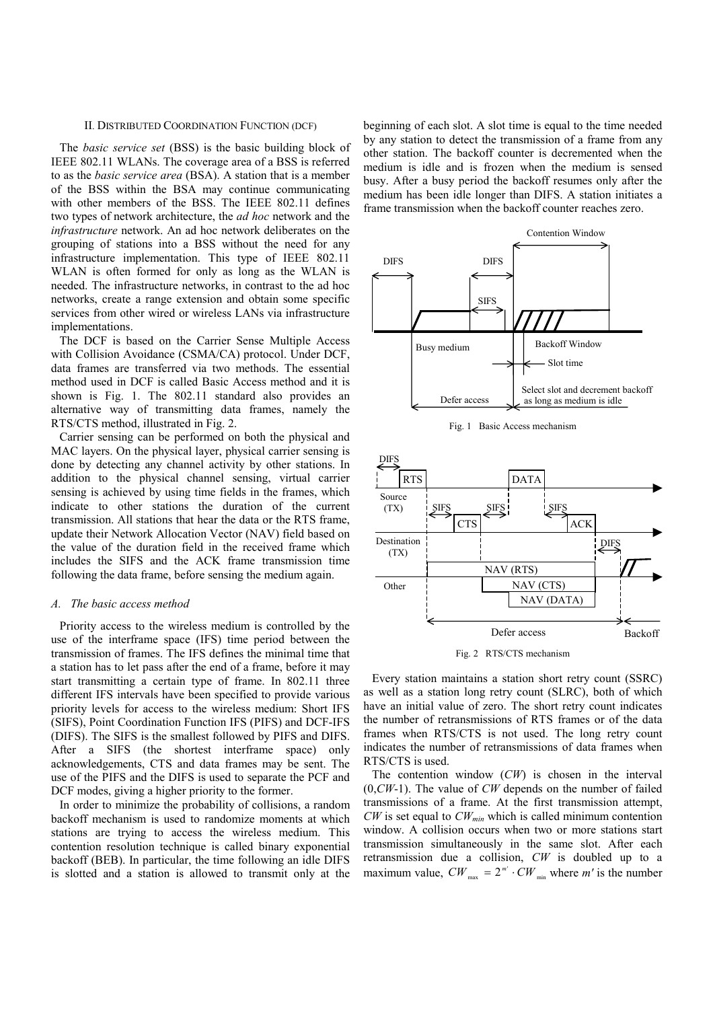## II. DISTRIBUTED COORDINATION FUNCTION (DCF)

The *basic service set* (BSS) is the basic building block of IEEE 802.11 WLANs. The coverage area of a BSS is referred to as the *basic service area* (BSA). A station that is a member of the BSS within the BSA may continue communicating with other members of the BSS. The IEEE 802.11 defines two types of network architecture, the *ad hoc* network and the *infrastructure* network. An ad hoc network deliberates on the grouping of stations into a BSS without the need for any infrastructure implementation. This type of IEEE 802.11 WLAN is often formed for only as long as the WLAN is needed. The infrastructure networks, in contrast to the ad hoc networks, create a range extension and obtain some specific services from other wired or wireless LANs via infrastructure implementations.

The DCF is based on the Carrier Sense Multiple Access with Collision Avoidance (CSMA/CA) protocol. Under DCF, data frames are transferred via two methods. The essential method used in DCF is called Basic Access method and it is shown is Fig. 1. The 802.11 standard also provides an alternative way of transmitting data frames, namely the RTS/CTS method, illustrated in Fig. 2.

Carrier sensing can be performed on both the physical and MAC layers. On the physical layer, physical carrier sensing is done by detecting any channel activity by other stations. In addition to the physical channel sensing, virtual carrier sensing is achieved by using time fields in the frames, which indicate to other stations the duration of the current transmission. All stations that hear the data or the RTS frame, update their Network Allocation Vector (NAV) field based on the value of the duration field in the received frame which includes the SIFS and the ACK frame transmission time following the data frame, before sensing the medium again.

#### *A. The basic access method*

Priority access to the wireless medium is controlled by the use of the interframe space (IFS) time period between the transmission of frames. The IFS defines the minimal time that a station has to let pass after the end of a frame, before it may start transmitting a certain type of frame. In 802.11 three different IFS intervals have been specified to provide various priority levels for access to the wireless medium: Short IFS (SIFS), Point Coordination Function IFS (PIFS) and DCF-IFS (DIFS). The SIFS is the smallest followed by PIFS and DIFS. After a SIFS (the shortest interframe space) only acknowledgements, CTS and data frames may be sent. The use of the PIFS and the DIFS is used to separate the PCF and DCF modes, giving a higher priority to the former.

In order to minimize the probability of collisions, a random backoff mechanism is used to randomize moments at which stations are trying to access the wireless medium. This contention resolution technique is called binary exponential backoff (BEB). In particular, the time following an idle DIFS is slotted and a station is allowed to transmit only at the

beginning of each slot. A slot time is equal to the time needed by any station to detect the transmission of a frame from any other station. The backoff counter is decremented when the medium is idle and is frozen when the medium is sensed busy. After a busy period the backoff resumes only after the medium has been idle longer than DIFS. A station initiates a frame transmission when the backoff counter reaches zero.



Fig. 1 Basic Access mechanism



Fig. 2 RTS/CTS mechanism

Every station maintains a station short retry count (SSRC) as well as a station long retry count (SLRC), both of which have an initial value of zero. The short retry count indicates the number of retransmissions of RTS frames or of the data frames when RTS/CTS is not used. The long retry count indicates the number of retransmissions of data frames when RTS/CTS is used.

The contention window (*CW*) is chosen in the interval (0,*CW*-1). The value of *CW* depends on the number of failed transmissions of a frame. At the first transmission attempt,  $CW$  is set equal to  $CW_{min}$  which is called minimum contention window. A collision occurs when two or more stations start transmission simultaneously in the same slot. After each retransmission due a collision, *CW* is doubled up to a maximum value,  $CW_{\text{max}} = 2^{m'} \cdot CW_{\text{min}}$  where *m'* is the number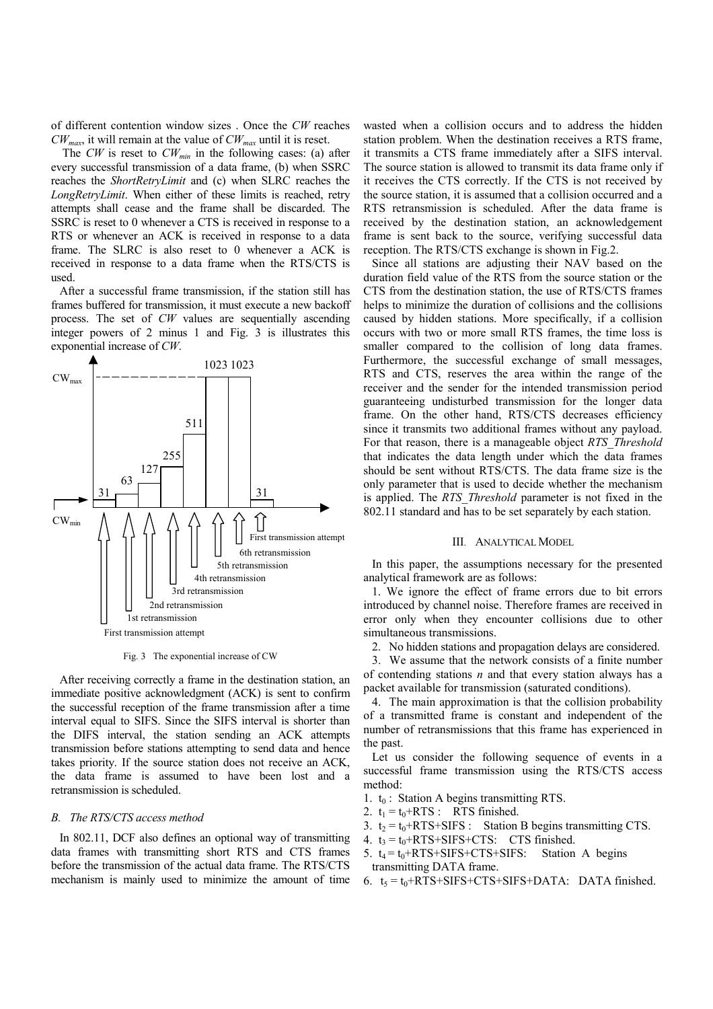of different contention window sizes . Once the *CW* reaches *CWmax*, it will remain at the value of *CWmax* until it is reset.

The *CW* is reset to *CW<sub>min</sub>* in the following cases: (a) after every successful transmission of a data frame, (b) when SSRC reaches the *ShortRetryLimit* and (c) when SLRC reaches the *LongRetryLimit*. When either of these limits is reached, retry attempts shall cease and the frame shall be discarded. The SSRC is reset to 0 whenever a CTS is received in response to a RTS or whenever an ACK is received in response to a data frame. The SLRC is also reset to 0 whenever a ACK is received in response to a data frame when the RTS/CTS is used.

After a successful frame transmission, if the station still has frames buffered for transmission, it must execute a new backoff process. The set of *CW* values are sequentially ascending integer powers of 2 minus 1 and Fig. 3 is illustrates this exponential increase of *CW*.



Fig. 3 The exponential increase of CW

After receiving correctly a frame in the destination station, an immediate positive acknowledgment (ACK) is sent to confirm the successful reception of the frame transmission after a time interval equal to SIFS. Since the SIFS interval is shorter than the DIFS interval, the station sending an ACK attempts transmission before stations attempting to send data and hence takes priority. If the source station does not receive an ACK, the data frame is assumed to have been lost and a retransmission is scheduled.

## *B. The RTS/CTS access method*

In 802.11, DCF also defines an optional way of transmitting data frames with transmitting short RTS and CTS frames before the transmission of the actual data frame. The RTS/CTS mechanism is mainly used to minimize the amount of time wasted when a collision occurs and to address the hidden station problem. When the destination receives a RTS frame, it transmits a CTS frame immediately after a SIFS interval. The source station is allowed to transmit its data frame only if it receives the CTS correctly. If the CTS is not received by the source station, it is assumed that a collision occurred and a RTS retransmission is scheduled. After the data frame is received by the destination station, an acknowledgement frame is sent back to the source, verifying successful data reception. The RTS/CTS exchange is shown in Fig.2.

Since all stations are adjusting their NAV based on the duration field value of the RTS from the source station or the CTS from the destination station, the use of RTS/CTS frames helps to minimize the duration of collisions and the collisions caused by hidden stations. More specifically, if a collision occurs with two or more small RTS frames, the time loss is smaller compared to the collision of long data frames. Furthermore, the successful exchange of small messages, RTS and CTS, reserves the area within the range of the receiver and the sender for the intended transmission period guaranteeing undisturbed transmission for the longer data frame. On the other hand, RTS/CTS decreases efficiency since it transmits two additional frames without any payload. For that reason, there is a manageable object *RTS\_Threshold* that indicates the data length under which the data frames should be sent without RTS/CTS. The data frame size is the only parameter that is used to decide whether the mechanism is applied. The *RTS\_Threshold* parameter is not fixed in the 802.11 standard and has to be set separately by each station.

# III. ANALYTICAL MODEL

In this paper, the assumptions necessary for the presented analytical framework are as follows:

1. We ignore the effect of frame errors due to bit errors introduced by channel noise. Therefore frames are received in error only when they encounter collisions due to other simultaneous transmissions.

2. No hidden stations and propagation delays are considered.

3. We assume that the network consists of a finite number of contending stations *n* and that every station always has a packet available for transmission (saturated conditions).

4. The main approximation is that the collision probability of a transmitted frame is constant and independent of the number of retransmissions that this frame has experienced in the past.

Let us consider the following sequence of events in a successful frame transmission using the RTS/CTS access method:

- 1.  $t_0$ : Station A begins transmitting RTS.
- 2.  $t_1 = t_0 + RTS$ : RTS finished.
- 3.  $t_2 = t_0 + RTS + SIFS$ : Station B begins transmitting CTS.
- 4.  $t_3 = t_0 + RTS + SIFS + CTS$ : CTS finished.
- 5.  $t_4 = t_0 + RTS + SIFS + CTS + SIFS:$  Station A begins transmitting DATA frame.
- 6.  $t_5 = t_0 + RTS + SIFS + CTS + SIFS + DATA$ : DATA finished.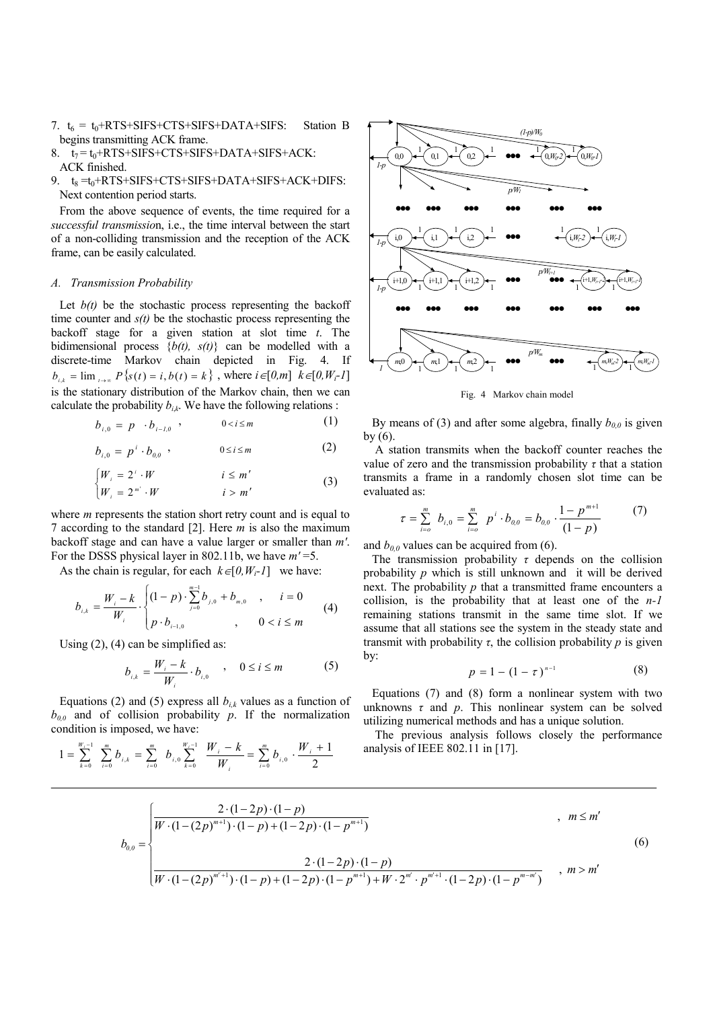- 7.  $t_6 = t_0 + RTS + SIFS + CTS + SIFS + DATA + SIFS$ : Station B begins transmitting ACK frame.
- $8. t_7 = t_0 + RTS + SIFS + CTS + SIFS + DATA + SIFS + ACK$ ACK finished.
- 9.  $t_8 = t_0 + RTS + SIFS + CTS + SIFS + DATA + SIFS + ACK + DIFS:$ Next contention period starts.

From the above sequence of events, the time required for a *successful transmissio*n, i.e., the time interval between the start of a non-colliding transmission and the reception of the ACK frame, can be easily calculated.

# *A. Transmission Probability*

Let  $b(t)$  be the stochastic process representing the backoff time counter and  $s(t)$  be the stochastic process representing the backoff stage for a given station at slot time *t*. The bidimensional process {*b(t), s(t)*} can be modelled with a discrete-time Markov chain depicted in Fig. 4. If  $b_{i,k} = \lim_{t \to \infty} P\{s(t) = i, b(t) = k\}$ , where  $i \in [0, m]$   $k \in [0, W_i-1]$ is the stationary distribution of the Markov chain, then we can calculate the probability  $b_{ik}$ . We have the following relations :

$$
b_{i,0} = p \cdot b_{i-l,0} \quad , \qquad 0 < i \le m \tag{1}
$$

$$
b_{i,0} = p^i \cdot b_{0,0} \quad , \qquad 0 \le i \le m \tag{2}
$$

$$
\begin{cases} W_i = 2^i \cdot W & i \le m' \\ W_i = 2^{m'} \cdot W & i > m' \end{cases}
$$
 (3)

where *m* represents the station short retry count and is equal to 7 according to the standard [2]. Here *m* is also the maximum backoff stage and can have a value larger or smaller than *m'*. For the DSSS physical layer in 802.11b, we have *m'* =5.

As the chain is regular, for each  $k \in [0, W_i-1]$  we have:

$$
b_{i,k} = \frac{W_i - k}{W_i} \cdot \begin{cases} (1-p) \cdot \sum_{j=0}^{m-1} b_{j,0} + b_{m,0} & , & i = 0 \\ p \cdot b_{i-1,0} & , & 0 < i \le m \end{cases}
$$
 (4)

Using  $(2)$ ,  $(4)$  can be simplified as:

$$
b_{i,k} = \frac{W_i - k}{W_i} \cdot b_{i,0} \qquad 0 \le i \le m \tag{5}
$$

Equations (2) and (5) express all  $b_{ik}$  values as a function of  $b_{00}$  and of collision probability *p*. If the normalization condition is imposed, we have:

$$
1 = \sum_{k=0}^{W_i-1} \sum_{i=0}^{m} b_{i,k} = \sum_{i=0}^{m} b_{i,0} \sum_{k=0}^{W_i-1} \frac{W_i - k}{W_i} = \sum_{i=0}^{m} b_{i,0} \cdot \frac{W_i + 1}{2}
$$



Fig. 4 Markov chain model

By means of (3) and after some algebra, finally  $b_{0,0}$  is given by (6).

 A station transmits when the backoff counter reaches the value of zero and the transmission probability  $\tau$  that a station transmits a frame in a randomly chosen slot time can be evaluated as:

$$
\tau = \sum_{i=0}^{m} b_{i,0} = \sum_{i=0}^{m} p^{i} \cdot b_{0,0} = b_{0,0} \cdot \frac{1-p^{m+1}}{(1-p)}
$$
(7)

and  $b_{0,0}$  values can be acquired from (6).

The transmission probability  $\tau$  depends on the collision probability *p* which is still unknown and it will be derived next. The probability *p* that a transmitted frame encounters a collision, is the probability that at least one of the *n-1* remaining stations transmit in the same time slot. If we assume that all stations see the system in the steady state and transmit with probability  $\tau$ , the collision probability  $p$  is given by:

$$
p = 1 - (1 - \tau)^{n-1}
$$
 (8)

Equations (7) and (8) form a nonlinear system with two unknowns  $\tau$  and  $p$ . This nonlinear system can be solved utilizing numerical methods and has a unique solution.

 The previous analysis follows closely the performance analysis of IEEE 802.11 in [17].

$$
b_{0,0} = \begin{cases} \frac{2 \cdot (1 - 2p) \cdot (1 - p)}{W \cdot (1 - (2p)^{m+1}) \cdot (1 - p) + (1 - 2p) \cdot (1 - p^{m+1})} & , & m \leq m' \\ & \\ \frac{2 \cdot (1 - 2p) \cdot (1 - p)}{W \cdot (1 - (2p)^{m'+1}) \cdot (1 - p) + (1 - 2p) \cdot (1 - p^{m+1}) + W \cdot 2^{m'} \cdot p^{m'+1} \cdot (1 - 2p) \cdot (1 - p^{m-m'})} & , & m > m' \end{cases}
$$
(6)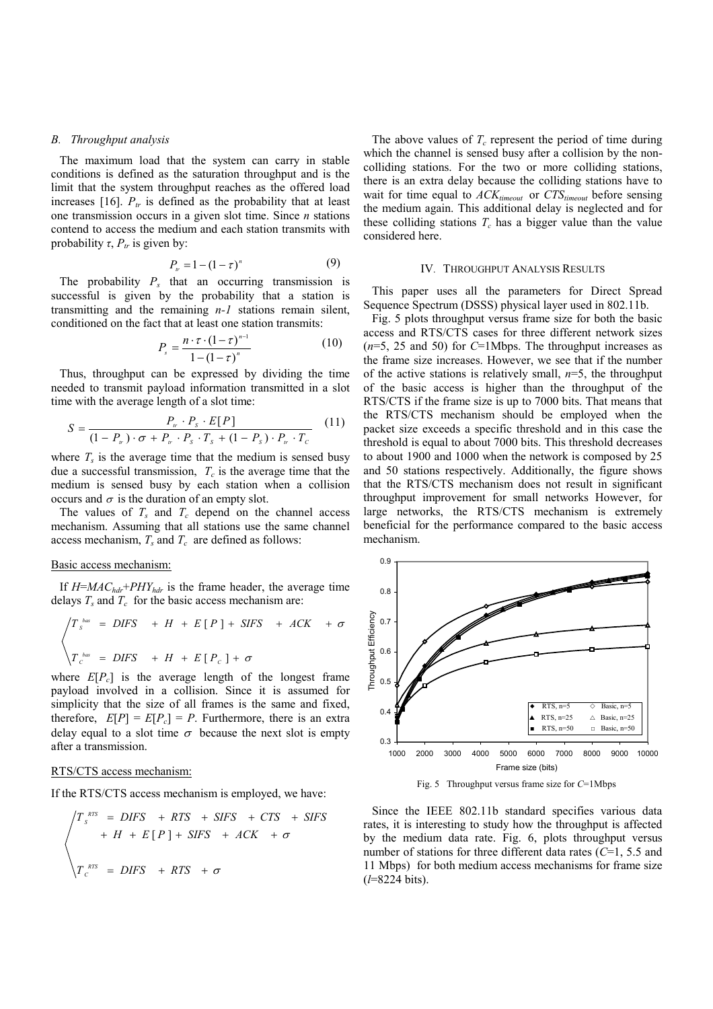## *B. Throughput analysis*

The maximum load that the system can carry in stable conditions is defined as the saturation throughput and is the limit that the system throughput reaches as the offered load increases [16].  $P_{tr}$  is defined as the probability that at least one transmission occurs in a given slot time. Since *n* stations contend to access the medium and each station transmits with probability  $\tau$ ,  $P_{tr}$  is given by:

$$
P_{\nu} = 1 - (1 - \tau)^n \tag{9}
$$

The probability  $P_s$  that an occurring transmission is successful is given by the probability that a station is transmitting and the remaining *n-1* stations remain silent, conditioned on the fact that at least one station transmits:

$$
P_s = \frac{n \cdot \tau \cdot (1 - \tau)^{n-1}}{1 - (1 - \tau)^n}
$$
 (10)

Thus, throughput can be expressed by dividing the time needed to transmit payload information transmitted in a slot time with the average length of a slot time:

$$
S = \frac{P_{\nu} \cdot P_{s} \cdot E[P]}{(1 - P_{\nu}) \cdot \sigma + P_{\nu} \cdot P_{s} \cdot T_{s} + (1 - P_{s}) \cdot P_{\nu} \cdot T_{c}}
$$
(11)

where  $T_s$  is the average time that the medium is sensed busy due a successful transmission,  $T_c$  is the average time that the medium is sensed busy by each station when a collision occurs and  $\sigma$  is the duration of an empty slot.

The values of  $T_s$  and  $T_c$  depend on the channel access mechanism. Assuming that all stations use the same channel access mechanism,  $T_s$  and  $T_c$  are defined as follows:

## Basic access mechanism:

If  $H = MAC_{hdr} + PHY_{hdr}$  is the frame header, the average time delays  $T_s$  and  $T_c$  for the basic access mechanism are:

$$
\begin{cases}\nT_s^{bas} = DIFS + H + E[P] + SIFS + ACK + \sigma \\
T_c^{bas} = DIFS + H + E[P_c] + \sigma\n\end{cases}
$$

where  $E[P_c]$  is the average length of the longest frame payload involved in a collision. Since it is assumed for simplicity that the size of all frames is the same and fixed, therefore,  $E[P] = E[P_c] = P$ . Furthermore, there is an extra delay equal to a slot time  $\sigma$  because the next slot is empty after a transmission.

#### RTS/CTS access mechanism:

If the RTS/CTS access mechanism is employed, we have:

$$
\begin{aligned}\n\sqrt{T_s^{RTS}} &= DIFS + RTS + SIFS + CTS + SIFS \\
&+ H + E[P] + SIFS + ACK + \sigma \\
\sqrt{T_c^{RTS}} &= DIFS + RTS + \sigma\n\end{aligned}
$$

The above values of  $T_c$  represent the period of time during which the channel is sensed busy after a collision by the noncolliding stations. For the two or more colliding stations, there is an extra delay because the colliding stations have to wait for time equal to  $ACK_{timeout}$  or  $CTS_{timeout}$  before sensing the medium again. This additional delay is neglected and for these colliding stations  $T_c$  has a bigger value than the value considered here.

### IV. THROUGHPUT ANALYSIS RESULTS

This paper uses all the parameters for Direct Spread Sequence Spectrum (DSSS) physical layer used in 802.11b.

Fig. 5 plots throughput versus frame size for both the basic access and RTS/CTS cases for three different network sizes (*n*=5, 25 and 50) for *C*=1Mbps. The throughput increases as the frame size increases. However, we see that if the number of the active stations is relatively small, *n*=5, the throughput of the basic access is higher than the throughput of the RTS/CTS if the frame size is up to 7000 bits. That means that the RTS/CTS mechanism should be employed when the packet size exceeds a specific threshold and in this case the threshold is equal to about 7000 bits. This threshold decreases to about 1900 and 1000 when the network is composed by 25 and 50 stations respectively. Additionally, the figure shows that the RTS/CTS mechanism does not result in significant throughput improvement for small networks However, for large networks, the RTS/CTS mechanism is extremely beneficial for the performance compared to the basic access mechanism.



Fig. 5 Throughput versus frame size for *C*=1Mbps

Since the IEEE 802.11b standard specifies various data rates, it is interesting to study how the throughput is affected by the medium data rate. Fig. 6, plots throughput versus number of stations for three different data rates (*C*=1, 5.5 and 11 Mbps) for both medium access mechanisms for frame size (*l*=8224 bits).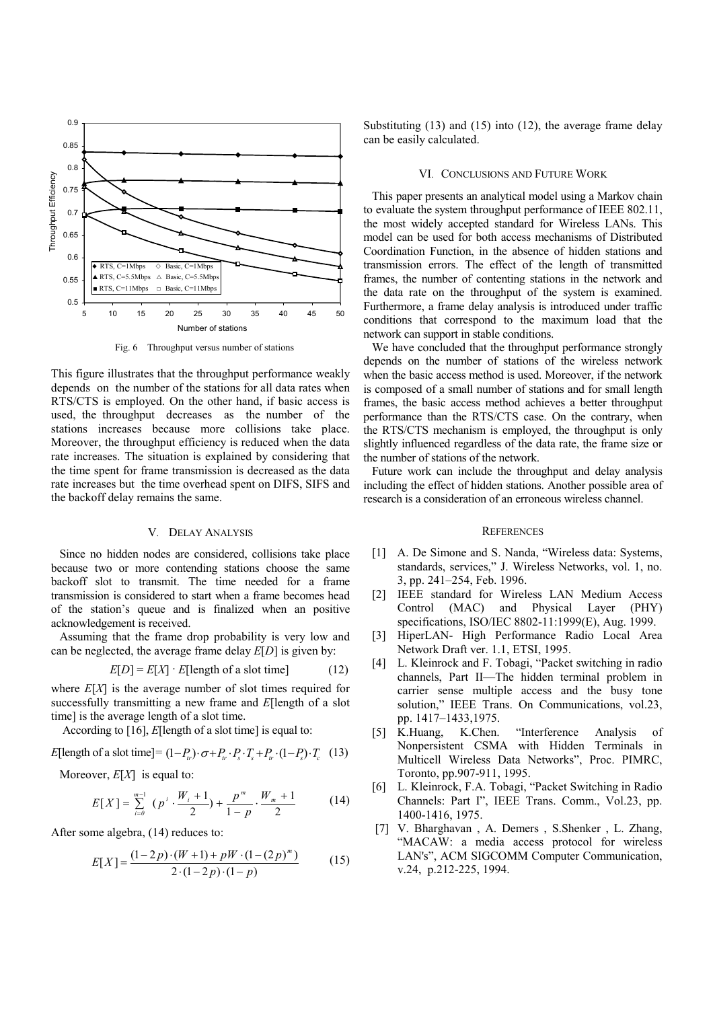

Fig. 6 Throughput versus number of stations

This figure illustrates that the throughput performance weakly depends on the number of the stations for all data rates when RTS/CTS is employed. On the other hand, if basic access is used, the throughput decreases as the number of the stations increases because more collisions take place. Moreover, the throughput efficiency is reduced when the data rate increases. The situation is explained by considering that the time spent for frame transmission is decreased as the data rate increases but the time overhead spent on DIFS, SIFS and the backoff delay remains the same.

# V. DELAY ANALYSIS

Since no hidden nodes are considered, collisions take place because two or more contending stations choose the same backoff slot to transmit. The time needed for a frame transmission is considered to start when a frame becomes head of the station's queue and is finalized when an positive acknowledgement is received.

Assuming that the frame drop probability is very low and can be neglected, the average frame delay *E*[*D*] is given by:

$$
E[D] = E[X] \cdot E[\text{length of a slot time}] \tag{12}
$$

where *E*[*X*] is the average number of slot times required for successfully transmitting a new frame and *E*[length of a slot time] is the average length of a slot time.

According to [16], *E*[length of a slot time] is equal to:

$$
E[\text{length of a slot time}] = (1 - P_n) \cdot \sigma + P_n \cdot P_s \cdot T_s + P_n \cdot (1 - P_s) \cdot T_c \quad (13)
$$

Moreover, *E*[*X*] is equal to:

$$
E[X] = \sum_{i=0}^{m-1} (p^i \cdot \frac{W_i + 1}{2}) + \frac{p^m}{1 - p} \cdot \frac{W_m + 1}{2}
$$
 (14)

After some algebra, (14) reduces to:

$$
E[X] = \frac{(1-2p)\cdot(W+1) + pW\cdot(1-(2p)^m)}{2\cdot(1-2p)\cdot(1-p)}
$$
(15)

Substituting  $(13)$  and  $(15)$  into  $(12)$ , the average frame delay can be easily calculated.

#### VI. CONCLUSIONS AND FUTURE WORK

This paper presents an analytical model using a Markov chain to evaluate the system throughput performance of IEEE 802.11, the most widely accepted standard for Wireless LANs. This model can be used for both access mechanisms of Distributed Coordination Function, in the absence of hidden stations and transmission errors. The effect of the length of transmitted frames, the number of contenting stations in the network and the data rate on the throughput of the system is examined. Furthermore, a frame delay analysis is introduced under traffic conditions that correspond to the maximum load that the network can support in stable conditions.

We have concluded that the throughput performance strongly depends on the number of stations of the wireless network when the basic access method is used. Moreover, if the network is composed of a small number of stations and for small length frames, the basic access method achieves a better throughput performance than the RTS/CTS case. On the contrary, when the RTS/CTS mechanism is employed, the throughput is only slightly influenced regardless of the data rate, the frame size or the number of stations of the network.

Future work can include the throughput and delay analysis including the effect of hidden stations. Another possible area of research is a consideration of an erroneous wireless channel.

#### **REFERENCES**

- [1] A. De Simone and S. Nanda, "Wireless data: Systems, standards, services," J. Wireless Networks, vol. 1, no. 3, pp. 241–254, Feb. 1996.
- [2] IEEE standard for Wireless LAN Medium Access Control (MAC) and Physical Layer (PHY) specifications, ISO/IEC 8802-11:1999(E), Aug. 1999.
- [3] HiperLAN- High Performance Radio Local Area Network Draft ver. 1.1, ETSI, 1995.
- [4] L. Kleinrock and F. Tobagi, "Packet switching in radio channels, Part II—The hidden terminal problem in carrier sense multiple access and the busy tone solution," IEEE Trans. On Communications, vol.23, pp. 1417–1433,1975.
- [5] K.Huang, K.Chen. "Interference Analysis of Nonpersistent CSMA with Hidden Terminals in Multicell Wireless Data Networks", Proc. PIMRC, Toronto, pp.907-911, 1995.
- [6] L. Kleinrock, F.A. Tobagi, "Packet Switching in Radio Channels: Part I", IEEE Trans. Comm., Vol.23, pp. 1400-1416, 1975.
- [7] V. Bharghavan , A. Demers , S.Shenker , L. Zhang, "MACAW: a media access protocol for wireless LAN's", ACM SIGCOMM Computer Communication, v.24, p.212-225, 1994.